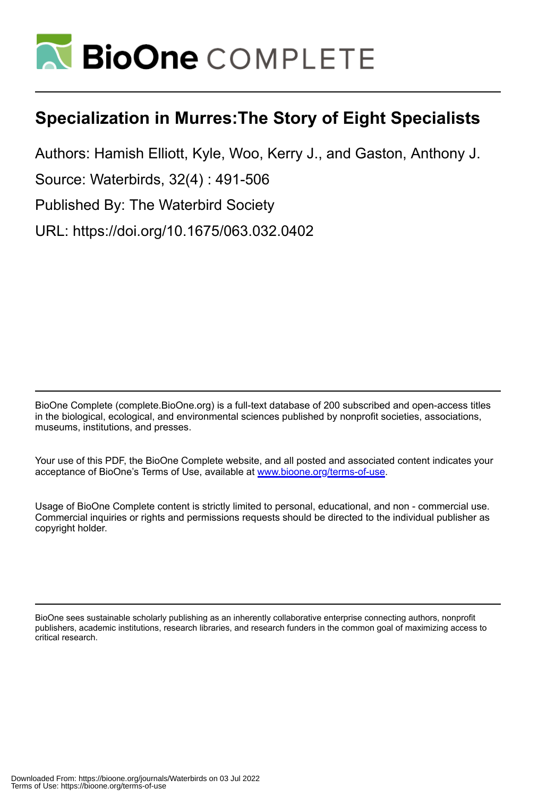

# **Specialization in Murres:The Story of Eight Specialists**

Authors: Hamish Elliott, Kyle, Woo, Kerry J., and Gaston, Anthony J.

Source: Waterbirds, 32(4) : 491-506

Published By: The Waterbird Society

URL: https://doi.org/10.1675/063.032.0402

BioOne Complete (complete.BioOne.org) is a full-text database of 200 subscribed and open-access titles in the biological, ecological, and environmental sciences published by nonprofit societies, associations, museums, institutions, and presses.

Your use of this PDF, the BioOne Complete website, and all posted and associated content indicates your acceptance of BioOne's Terms of Use, available at www.bioone.org/terms-of-use.

Usage of BioOne Complete content is strictly limited to personal, educational, and non - commercial use. Commercial inquiries or rights and permissions requests should be directed to the individual publisher as copyright holder.

BioOne sees sustainable scholarly publishing as an inherently collaborative enterprise connecting authors, nonprofit publishers, academic institutions, research libraries, and research funders in the common goal of maximizing access to critical research.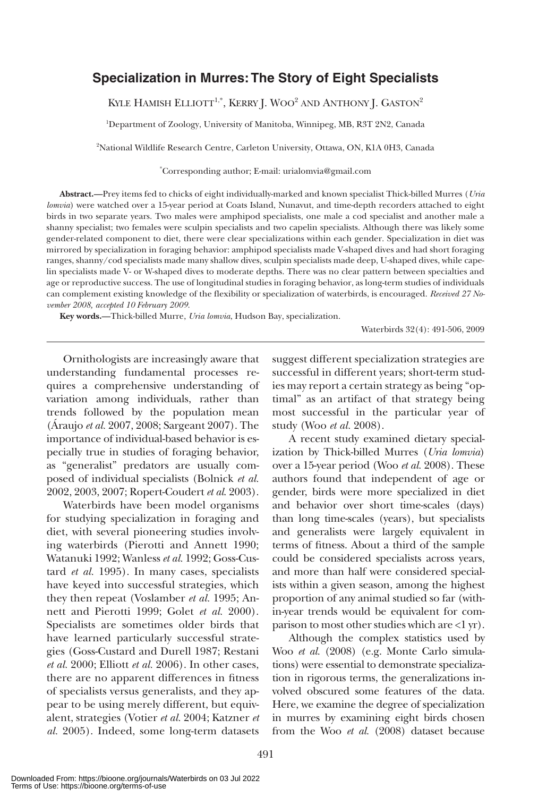### **Specialization in Murres: The Story of Eight Specialists**

KYLE HAMISH ELLIOTT<sup>1,\*</sup>, KERRY J. WOO<sup>2</sup> AND ANTHONY J. GASTON<sup>2</sup>

1 Department of Zoology, University of Manitoba, Winnipeg, MB, R3T 2N2, Canada

2 National Wildlife Research Centre, Carleton University, Ottawa, ON, K1A 0H3, Canada

\* Corresponding author; E-mail: urialomvia@gmail.com

**Abstract.—**Prey items fed to chicks of eight individually-marked and known specialist Thick-billed Murres (*Uria lomvia*) were watched over a 15-year period at Coats Island, Nunavut, and time-depth recorders attached to eight birds in two separate years. Two males were amphipod specialists, one male a cod specialist and another male a shanny specialist; two females were sculpin specialists and two capelin specialists. Although there was likely some gender-related component to diet, there were clear specializations within each gender. Specialization in diet was mirrored by specialization in foraging behavior: amphipod specialists made V-shaped dives and had short foraging ranges, shanny/cod specialists made many shallow dives, sculpin specialists made deep, U-shaped dives, while capelin specialists made V- or W-shaped dives to moderate depths. There was no clear pattern between specialties and age or reproductive success. The use of longitudinal studies in foraging behavior, as long-term studies of individuals can complement existing knowledge of the flexibility or specialization of waterbirds, is encouraged. *Received 27 November 2008, accepted 10 February 2009.*

**Key words.—**Thick-billed Murre, *Uria lomvia*, Hudson Bay, specialization.

Waterbirds 32(4): 491-506, 2009

Ornithologists are increasingly aware that understanding fundamental processes requires a comprehensive understanding of variation among individuals, rather than trends followed by the population mean (Áraujo *et al.* 2007, 2008; Sargeant 2007). The importance of individual-based behavior is especially true in studies of foraging behavior, as "generalist" predators are usually composed of individual specialists (Bolnick *et al.* 2002, 2003, 2007; Ropert-Coudert *et al*. 2003).

Waterbirds have been model organisms for studying specialization in foraging and diet, with several pioneering studies involving waterbirds (Pierotti and Annett 1990; Watanuki 1992; Wanless *et al.* 1992; Goss-Custard *et al.* 1995). In many cases, specialists have keyed into successful strategies, which they then repeat (Voslamber *et al.* 1995; Annett and Pierotti 1999; Golet *et al.* 2000). Specialists are sometimes older birds that have learned particularly successful strategies (Goss-Custard and Durell 1987; Restani *et al.* 2000; Elliott *et al.* 2006). In other cases, there are no apparent differences in fitness of specialists versus generalists, and they appear to be using merely different, but equivalent, strategies (Votier *et al.* 2004; Katzner *et al.* 2005). Indeed, some long-term datasets

suggest different specialization strategies are successful in different years; short-term studies may report a certain strategy as being "optimal" as an artifact of that strategy being most successful in the particular year of study (Woo *et al.* 2008).

A recent study examined dietary specialization by Thick-billed Murres (*Uria lomvia*) over a 15-year period (Woo *et al.* 2008). These authors found that independent of age or gender, birds were more specialized in diet and behavior over short time-scales (days) than long time-scales (years), but specialists and generalists were largely equivalent in terms of fitness. About a third of the sample could be considered specialists across years, and more than half were considered specialists within a given season, among the highest proportion of any animal studied so far (within-year trends would be equivalent for comparison to most other studies which are <1 yr).

Although the complex statistics used by Woo *et al.* (2008) (e.g. Monte Carlo simulations) were essential to demonstrate specialization in rigorous terms, the generalizations involved obscured some features of the data. Here, we examine the degree of specialization in murres by examining eight birds chosen from the Woo *et al.* (2008) dataset because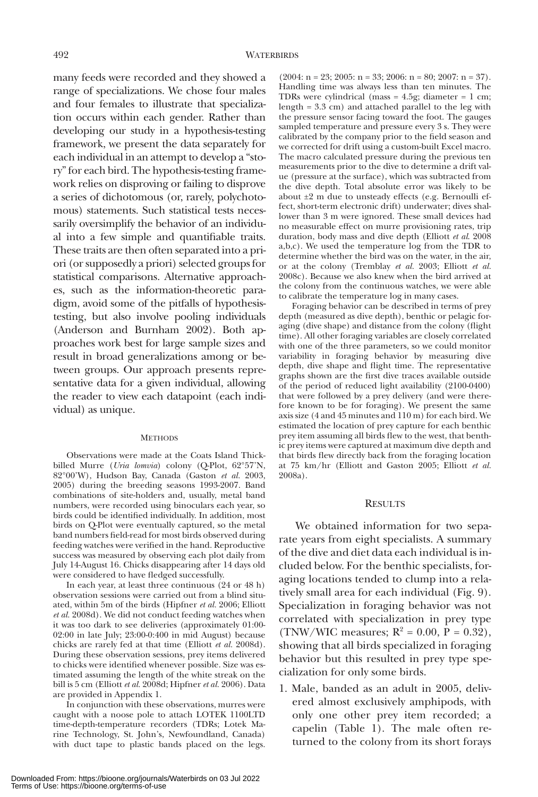many feeds were recorded and they showed a range of specializations. We chose four males and four females to illustrate that specialization occurs within each gender. Rather than developing our study in a hypothesis-testing framework, we present the data separately for each individual in an attempt to develop a "story" for each bird. The hypothesis-testing framework relies on disproving or failing to disprove a series of dichotomous (or, rarely, polychotomous) statements. Such statistical tests necessarily oversimplify the behavior of an individual into a few simple and quantifiable traits. These traits are then often separated into a priori (or supposedly a priori) selected groups for statistical comparisons. Alternative approaches, such as the information-theoretic paradigm, avoid some of the pitfalls of hypothesistesting, but also involve pooling individuals (Anderson and Burnham 2002). Both approaches work best for large sample sizes and result in broad generalizations among or between groups. Our approach presents representative data for a given individual, allowing the reader to view each datapoint (each individual) as unique.

#### METHODS

Observations were made at the Coats Island Thickbilled Murre (*Uria lomvia*) colony (Q-Plot, 62°57'N, 82°00'W), Hudson Bay, Canada (Gaston *et al.* 2003, 2005) during the breeding seasons 1993-2007. Band combinations of site-holders and, usually, metal band numbers, were recorded using binoculars each year, so birds could be identified individually. In addition, most birds on Q-Plot were eventually captured, so the metal band numbers field-read for most birds observed during feeding watches were verified in the hand. Reproductive success was measured by observing each plot daily from July 14-August 16. Chicks disappearing after 14 days old were considered to have fledged successfully.

In each year, at least three continuous (24 or 48 h) observation sessions were carried out from a blind situated, within 5m of the birds (Hipfner *et al.* 2006; Elliott *et al.* 2008d). We did not conduct feeding watches when it was too dark to see deliveries (approximately 01:00- 02:00 in late July; 23:00-0:400 in mid August) because chicks are rarely fed at that time (Elliott *et al.* 2008d). During these observation sessions, prey items delivered to chicks were identified whenever possible. Size was estimated assuming the length of the white streak on the bill is 5 cm (Elliott *et al.* 2008d; Hipfner *et al.* 2006). Data are provided in Appendix 1.

In conjunction with these observations, murres were caught with a noose pole to attach LOTEK 1100LTD time-depth-temperature recorders (TDRs; Lotek Marine Technology, St. John's, Newfoundland, Canada) with duct tape to plastic bands placed on the legs.

 $(2004: n = 23; 2005: n = 33; 2006: n = 80; 2007: n = 37).$ Handling time was always less than ten minutes. The TDRs were cylindrical (mass  $= 4.5$ g; diameter  $= 1$  cm; length = 3.3 cm) and attached parallel to the leg with the pressure sensor facing toward the foot. The gauges sampled temperature and pressure every 3 s. They were calibrated by the company prior to the field season and we corrected for drift using a custom-built Excel macro. The macro calculated pressure during the previous ten measurements prior to the dive to determine a drift value (pressure at the surface), which was subtracted from the dive depth. Total absolute error was likely to be about  $\pm 2$  m due to unsteady effects (e.g. Bernoulli effect, short-term electronic drift) underwater; dives shallower than 3 m were ignored. These small devices had no measurable effect on murre provisioning rates, trip duration, body mass and dive depth (Elliott *et al*. 2008 a,b,c). We used the temperature log from the TDR to determine whether the bird was on the water, in the air, or at the colony (Tremblay *et al.* 2003; Elliott *et al.* 2008c). Because we also knew when the bird arrived at the colony from the continuous watches, we were able to calibrate the temperature log in many cases.

Foraging behavior can be described in terms of prey depth (measured as dive depth), benthic or pelagic foraging (dive shape) and distance from the colony (flight time). All other foraging variables are closely correlated with one of the three parameters, so we could monitor variability in foraging behavior by measuring dive depth, dive shape and flight time. The representative graphs shown are the first dive traces available outside of the period of reduced light availability (2100-0400) that were followed by a prey delivery (and were therefore known to be for foraging). We present the same axis size (4 and 45 minutes and 110 m) for each bird. We estimated the location of prey capture for each benthic prey item assuming all birds flew to the west, that benthic prey items were captured at maximum dive depth and that birds flew directly back from the foraging location at 75 km/hr (Elliott and Gaston 2005; Elliott *et al.* 2008a).

### **RESULTS**

We obtained information for two separate years from eight specialists. A summary of the dive and diet data each individual is included below. For the benthic specialists, foraging locations tended to clump into a relatively small area for each individual (Fig. 9). Specialization in foraging behavior was not correlated with specialization in prey type (TNW/WIC measures;  $R^2 = 0.00$ ,  $P = 0.32$ ), showing that all birds specialized in foraging behavior but this resulted in prey type specialization for only some birds.

1. Male, banded as an adult in 2005, delivered almost exclusively amphipods, with only one other prey item recorded; a capelin (Table 1). The male often returned to the colony from its short forays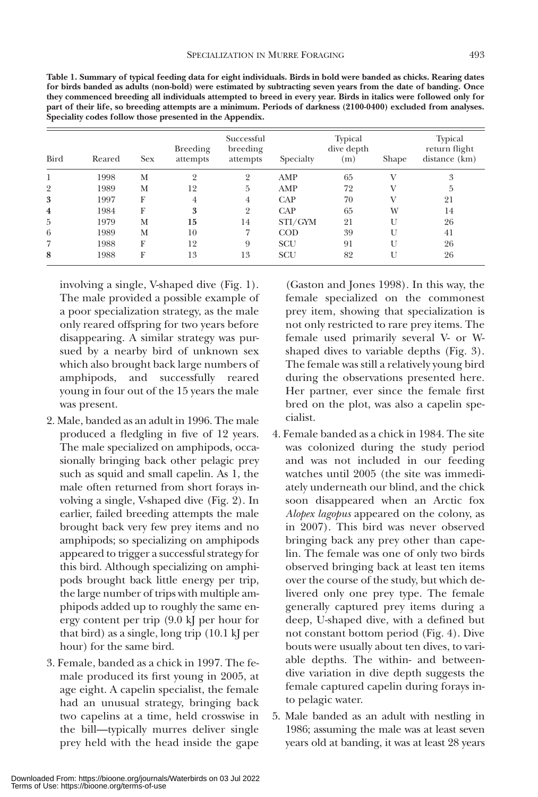|     | v            |              |
|-----|--------------|--------------|
| . . | ۰,<br>×<br>۹ | ۰,<br>۹<br>× |

| <b>Bird</b>    | Reared | <b>Sex</b> | Breeding<br>attempts | Successful<br>breeding<br>attempts | Specialty  | <b>Typical</b><br>dive depth<br>(m) | Shape        | <b>Typical</b><br>return flight<br>distance (km) |
|----------------|--------|------------|----------------------|------------------------------------|------------|-------------------------------------|--------------|--------------------------------------------------|
|                | 1998   | М          | $\overline{2}$       | $\overline{2}$                     | AMP        | 65                                  | V            | 3                                                |
| $\overline{2}$ | 1989   | М          | 12                   | 5                                  | AMP        | 72                                  |              | 5                                                |
| 3              | 1997   | F          | 4                    | $\overline{4}$                     | CAP        | 70                                  |              | 21                                               |
| $\overline{4}$ | 1984   | F          | 3                    | $\overline{2}$                     | CAP        | 65                                  | W            | 14                                               |
| 5              | 1979   | М          | 15                   | 14                                 | STI/GYM    | 21                                  | U            | 26                                               |
| 6              | 1989   | М          | 10                   | 7                                  | $\rm COD$  | 39                                  | $\mathbf{I}$ | 41                                               |
| 7              | 1988   | F          | 12                   | 9                                  | <b>SCU</b> | 91                                  | U            | 26                                               |
| 8              | 1988   | F          | 13                   | 13                                 | <b>SCU</b> | 82                                  | U            | 26                                               |

**Table 1. Summary of typical feeding data for eight individuals. Birds in bold were banded as chicks. Rearing dates for birds banded as adults (non-bold) were estimated by subtracting seven years from the date of banding. Once they commenced breeding all individuals attempted to breed in every year. Birds in italics were followed only for part of their life, so breeding attempts are a minimum. Periods of darkness (2100-0400) excluded from analyses. Speciality codes follow those presented in the Appendix.**

involving a single, V-shaped dive (Fig. 1). The male provided a possible example of a poor specialization strategy, as the male only reared offspring for two years before disappearing. A similar strategy was pursued by a nearby bird of unknown sex which also brought back large numbers of amphipods, and successfully reared young in four out of the 15 years the male was present.

- 2. Male, banded as an adult in 1996. The male produced a fledgling in five of 12 years. The male specialized on amphipods, occasionally bringing back other pelagic prey such as squid and small capelin. As 1, the male often returned from short forays involving a single, V-shaped dive (Fig. 2). In earlier, failed breeding attempts the male brought back very few prey items and no amphipods; so specializing on amphipods appeared to trigger a successful strategy for this bird. Although specializing on amphipods brought back little energy per trip, the large number of trips with multiple amphipods added up to roughly the same energy content per trip (9.0 kJ per hour for that bird) as a single, long trip (10.1 kJ per hour) for the same bird.
- 3. Female, banded as a chick in 1997. The female produced its first young in 2005, at age eight. A capelin specialist, the female had an unusual strategy, bringing back two capelins at a time, held crosswise in the bill—typically murres deliver single prey held with the head inside the gape

(Gaston and Jones 1998). In this way, the female specialized on the commonest prey item, showing that specialization is not only restricted to rare prey items. The female used primarily several V- or Wshaped dives to variable depths (Fig. 3). The female was still a relatively young bird during the observations presented here. Her partner, ever since the female first bred on the plot, was also a capelin specialist.

- 4. Female banded as a chick in 1984. The site was colonized during the study period and was not included in our feeding watches until 2005 (the site was immediately underneath our blind, and the chick soon disappeared when an Arctic fox *Alopex lagopus* appeared on the colony, as in 2007). This bird was never observed bringing back any prey other than capelin. The female was one of only two birds observed bringing back at least ten items over the course of the study, but which delivered only one prey type. The female generally captured prey items during a deep, U-shaped dive, with a defined but not constant bottom period (Fig. 4). Dive bouts were usually about ten dives, to variable depths. The within- and betweendive variation in dive depth suggests the female captured capelin during forays into pelagic water.
- 5. Male banded as an adult with nestling in 1986; assuming the male was at least seven years old at banding, it was at least 28 years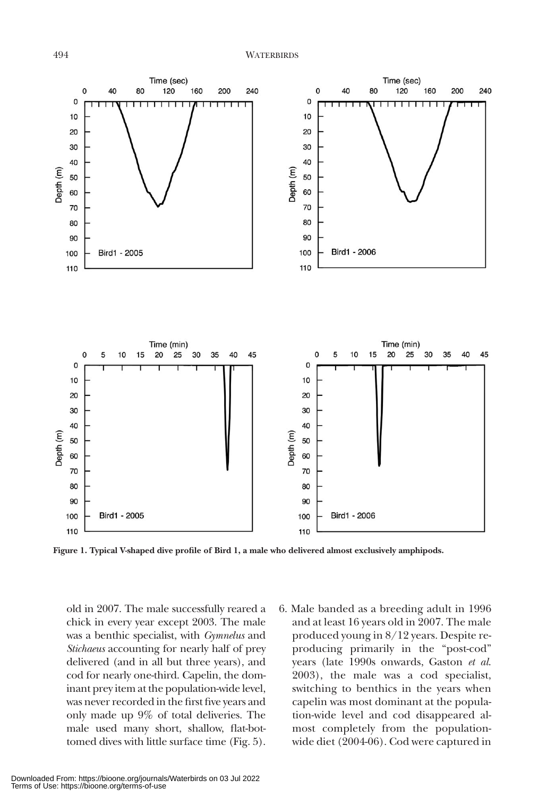

**Figure 1. Typical V-shaped dive profile of Bird 1, a male who delivered almost exclusively amphipods.**

old in 2007. The male successfully reared a chick in every year except 2003. The male was a benthic specialist, with *Gymnelus* and *Stichaeus* accounting for nearly half of prey delivered (and in all but three years), and cod for nearly one-third. Capelin, the dominant prey item at the population-wide level, was never recorded in the first five years and only made up 9% of total deliveries. The male used many short, shallow, flat-bottomed dives with little surface time (Fig. 5). 6. Male banded as a breeding adult in 1996 and at least 16 years old in 2007. The male produced young in 8/12 years. Despite reproducing primarily in the "post-cod" years (late 1990s onwards, Gaston *et al*. 2003), the male was a cod specialist, switching to benthics in the years when capelin was most dominant at the population-wide level and cod disappeared almost completely from the populationwide diet (2004-06). Cod were captured in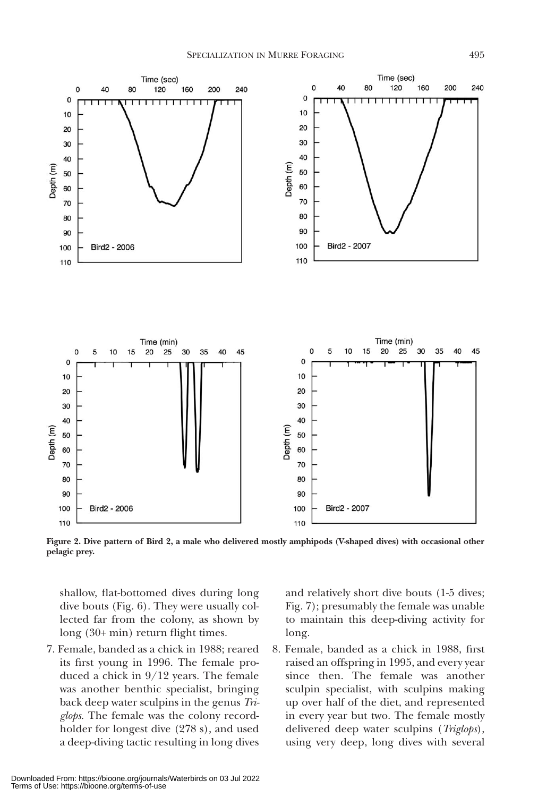

**Figure 2. Dive pattern of Bird 2, a male who delivered mostly amphipods (V-shaped dives) with occasional other pelagic prey.**

shallow, flat-bottomed dives during long dive bouts (Fig. 6). They were usually collected far from the colony, as shown by long (30+ min) return flight times.

7. Female, banded as a chick in 1988; reared its first young in 1996. The female produced a chick in 9/12 years. The female was another benthic specialist, bringing back deep water sculpins in the genus *Triglops*. The female was the colony recordholder for longest dive (278 s), and used a deep-diving tactic resulting in long dives and relatively short dive bouts (1-5 dives; Fig. 7); presumably the female was unable to maintain this deep-diving activity for long.

8. Female, banded as a chick in 1988, first raised an offspring in 1995, and every year since then. The female was another sculpin specialist, with sculpins making up over half of the diet, and represented in every year but two. The female mostly delivered deep water sculpins (*Triglops*), using very deep, long dives with several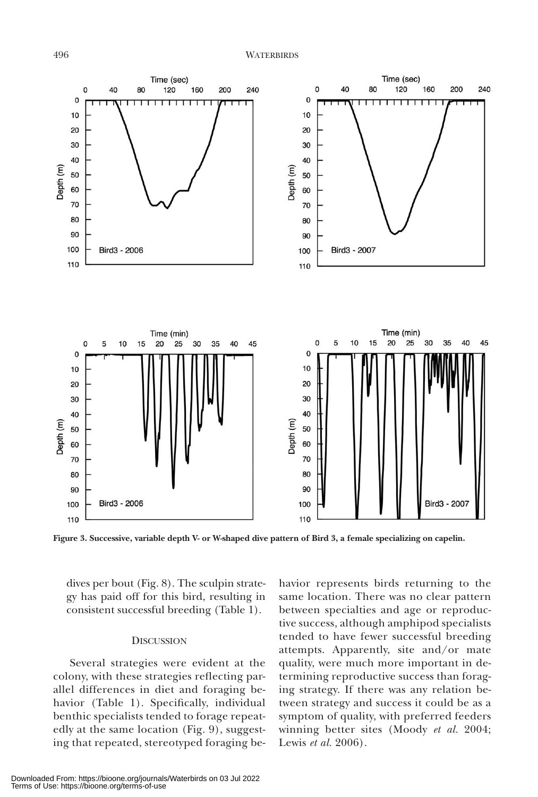

**Figure 3. Successive, variable depth V- or W-shaped dive pattern of Bird 3, a female specializing on capelin.**

dives per bout (Fig. 8). The sculpin strategy has paid off for this bird, resulting in consistent successful breeding (Table 1).

#### **DISCUSSION**

Several strategies were evident at the colony, with these strategies reflecting parallel differences in diet and foraging behavior (Table 1). Specifically, individual benthic specialists tended to forage repeatedly at the same location (Fig. 9), suggesting that repeated, stereotyped foraging behavior represents birds returning to the same location. There was no clear pattern between specialties and age or reproductive success, although amphipod specialists tended to have fewer successful breeding attempts. Apparently, site and/or mate quality, were much more important in determining reproductive success than foraging strategy. If there was any relation between strategy and success it could be as a symptom of quality, with preferred feeders winning better sites (Moody *et al.* 2004; Lewis *et al.* 2006).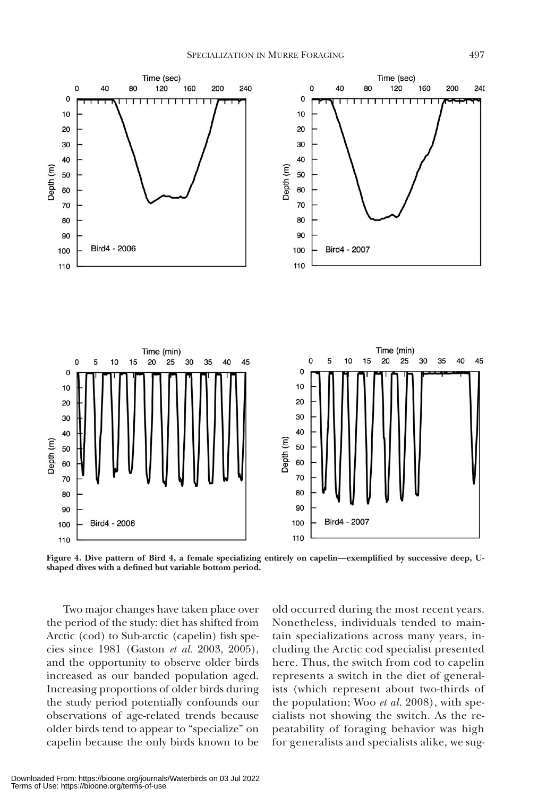

**Figure 4. Dive pattern of Bird 4, a female specializing entirely on capelin—exemplified by successive deep, Ushaped dives with a defined but variable bottom period.**

Two major changes have taken place over the period of the study: diet has shifted from Arctic (cod) to Sub-arctic (capelin) fish species since 1981 (Gaston *et al.* 2003, 2005), and the opportunity to observe older birds increased as our banded population aged. Increasing proportions of older birds during the study period potentially confounds our observations of age-related trends because older birds tend to appear to "specialize" on capelin because the only birds known to be

old occurred during the most recent years. Nonetheless, individuals tended to maintain specializations across many years, including the Arctic cod specialist presented here. Thus, the switch from cod to capelin represents a switch in the diet of generalists (which represent about two-thirds of the population; Woo *et al.* 2008), with specialists not showing the switch. As the repeatability of foraging behavior was high for generalists and specialists alike, we sug-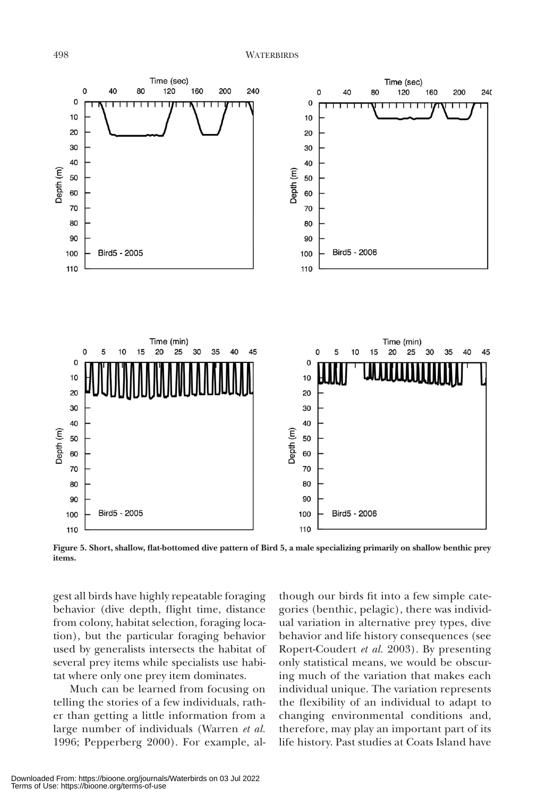

**Figure 5. Short, shallow, flat-bottomed dive pattern of Bird 5, a male specializing primarily on shallow benthic prey items.**

gest all birds have highly repeatable foraging behavior (dive depth, flight time, distance from colony, habitat selection, foraging location), but the particular foraging behavior used by generalists intersects the habitat of several prey items while specialists use habitat where only one prey item dominates.

Much can be learned from focusing on telling the stories of a few individuals, rather than getting a little information from a large number of individuals (Warren *et al.* 1996; Pepperberg 2000). For example, although our birds fit into a few simple categories (benthic, pelagic), there was individual variation in alternative prey types, dive behavior and life history consequences (see Ropert-Coudert *et al.* 2003). By presenting only statistical means, we would be obscuring much of the variation that makes each individual unique. The variation represents the flexibility of an individual to adapt to changing environmental conditions and, therefore, may play an important part of its life history. Past studies at Coats Island have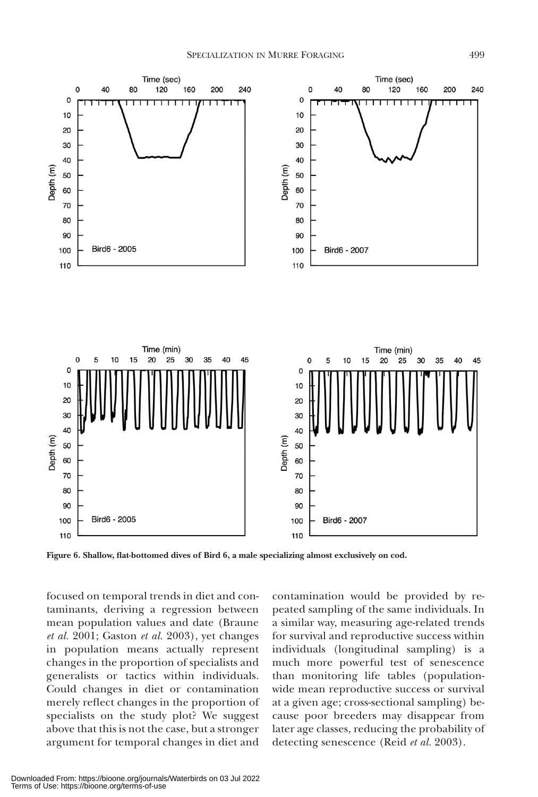

**Figure 6. Shallow, flat-bottomed dives of Bird 6, a male specializing almost exclusively on cod.**

focused on temporal trends in diet and contaminants, deriving a regression between mean population values and date (Braune *et al.* 2001; Gaston *et al.* 2003), yet changes in population means actually represent changes in the proportion of specialists and generalists or tactics within individuals. Could changes in diet or contamination merely reflect changes in the proportion of specialists on the study plot? We suggest above that this is not the case, but a stronger argument for temporal changes in diet and

contamination would be provided by repeated sampling of the same individuals. In a similar way, measuring age-related trends for survival and reproductive success within individuals (longitudinal sampling) is a much more powerful test of senescence than monitoring life tables (populationwide mean reproductive success or survival at a given age; cross-sectional sampling) because poor breeders may disappear from later age classes, reducing the probability of detecting senescence (Reid *et al.* 2003).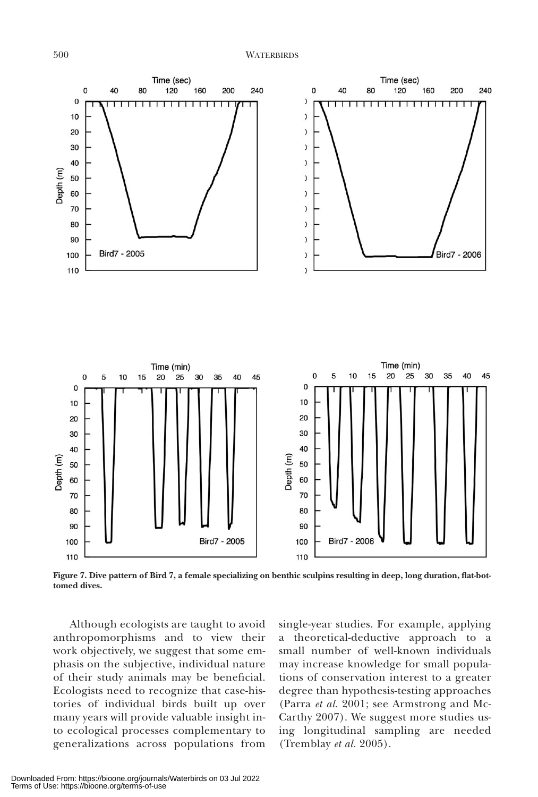

**Figure 7. Dive pattern of Bird 7, a female specializing on benthic sculpins resulting in deep, long duration, flat-bottomed dives.**

Although ecologists are taught to avoid anthropomorphisms and to view their work objectively, we suggest that some emphasis on the subjective, individual nature of their study animals may be beneficial. Ecologists need to recognize that case-histories of individual birds built up over many years will provide valuable insight into ecological processes complementary to generalizations across populations from single-year studies. For example, applying a theoretical-deductive approach to a small number of well-known individuals may increase knowledge for small populations of conservation interest to a greater degree than hypothesis-testing approaches (Parra *et al*. 2001; see Armstrong and Mc-Carthy 2007). We suggest more studies using longitudinal sampling are needed (Tremblay *et al.* 2005).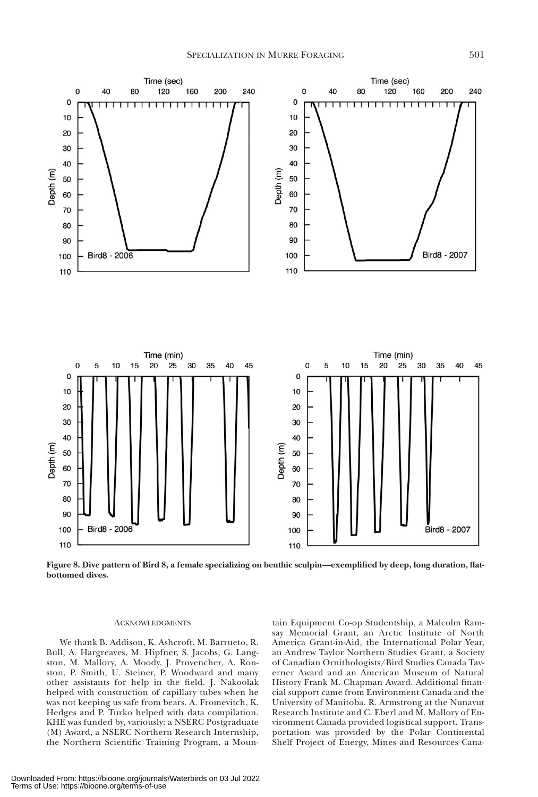

**Figure 8. Dive pattern of Bird 8, a female specializing on benthic sculpin—exemplified by deep, long duration, flatbottomed dives.** 

#### **ACKNOWLEDGMENTS**

We thank B. Addison, K. Ashcroft, M. Barrueto, R. Bull, A. Hargreaves, M. Hipfner, S. Jacobs, G. Langston, M. Mallory, A. Moody, J. Provencher, A. Ronston, P. Smith, U. Steiner, P. Woodward and many other assistants for help in the field. J. Nakoolak helped with construction of capillary tubes when he was not keeping us safe from bears. A. Fromevitch, K. Hedges and P. Turko helped with data compilation. KHE was funded by, variously: a NSERC Postgraduate (M) Award, a NSERC Northern Research Internship, the Northern Scientific Training Program, a Moun-

tain Equipment Co-op Studentship, a Malcolm Ramsay Memorial Grant, an Arctic Institute of North America Grant-in-Aid, the International Polar Year, an Andrew Taylor Northern Studies Grant, a Society of Canadian Ornithologists/Bird Studies Canada Taverner Award and an American Museum of Natural History Frank M. Chapman Award. Additional financial support came from Environment Canada and the University of Manitoba. R. Armstrong at the Nunavut Research Institute and C. Eberl and M. Mallory of Environment Canada provided logistical support. Transportation was provided by the Polar Continental Shelf Project of Energy, Mines and Resources Cana-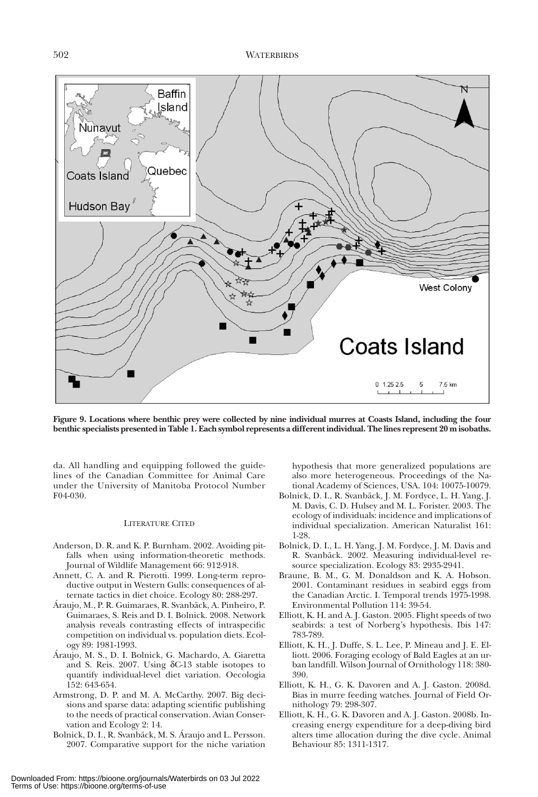

**Figure 9. Locations where benthic prey were collected by nine individual murres at Coasts Island, including the four benthic specialists presented in Table 1. Each symbol represents a different individual. The lines represent 20 m isobaths.**

da. All handling and equipping followed the guidelines of the Canadian Committee for Animal Care under the University of Manitoba Protocol Number F04-030.

#### LITERATURE CITED

- Anderson, D. R. and K. P. Burnham. 2002. Avoiding pitfalls when using information-theoretic methods. Journal of Wildlife Management 66: 912-918.
- Annett, C. A. and R. Pierotti. 1999. Long-term reproductive output in Western Gulls: consequences of alternate tactics in diet choice. Ecology 80: 288-297.
- Áraujo, M., P. R. Guimaraes, R. Svanbäck, A. Pinheiro, P. Guimaraes, S. Reis and D. I. Bolnick. 2008. Network analysis reveals contrasting effects of intraspecific competition on individual vs. population diets. Ecology 89: 1981-1993.
- Áraujo, M. S., D. I. Bolnick, G. Machardo, A. Giaretta and S. Reis. 2007. Using δC-13 stable isotopes to quantify individual-level diet variation. Oecologia 152: 643-654.
- Armstrong, D. P. and M. A. McCarthy. 2007. Big decisions and sparse data: adapting scientific publishing to the needs of practical conservation. Avian Conservation and Ecology 2: 14.
- Bolnick, D. I., R. Svanbäck, M. S. Áraujo and L. Persson. 2007. Comparative support for the niche variation

hypothesis that more generalized populations are also more heterogeneous. Proceedings of the National Academy of Sciences, USA. 104: 10075-10079.

- Bolnick, D. I., R. Svanbäck, J. M. Fordyce, L. H. Yang, J. M. Davis, C. D. Hulsey and M. L. Forister. 2003. The ecology of individuals: incidence and implications of individual specialization. American Naturalist 161: 1-28.
- Bolnick, D. I., L. H. Yang, J. M. Fordyce, J. M. Davis and R. Svanbäck. 2002. Measuring individual-level resource specialization. Ecology 83: 2935-2941.
- Braune, B. M., G. M. Donaldson and K. A. Hobson. 2001. Contaminant residues in seabird eggs from the Canadian Arctic. I. Temporal trends 1975-1998. Environmental Pollution 114: 39-54.
- Elliott, K. H. and A. J. Gaston. 2005. Flight speeds of two seabirds: a test of Norberg's hypothesis. Ibis 147: 783-789.
- Elliott, K. H., J. Duffe, S. L. Lee, P. Mineau and J. E. Elliott. 2006. Foraging ecology of Bald Eagles at an urban landfill. Wilson Journal of Ornithology 118: 380- 390.
- Elliott, K. H., G. K. Davoren and A. J. Gaston. 2008d. Bias in murre feeding watches. Journal of Field Ornithology 79: 298-307.
- Elliott, K. H., G. K. Davoren and A. J. Gaston. 2008b. Increasing energy expenditure for a deep-diving bird alters time allocation during the dive cycle. Animal Behaviour 85: 1311-1317.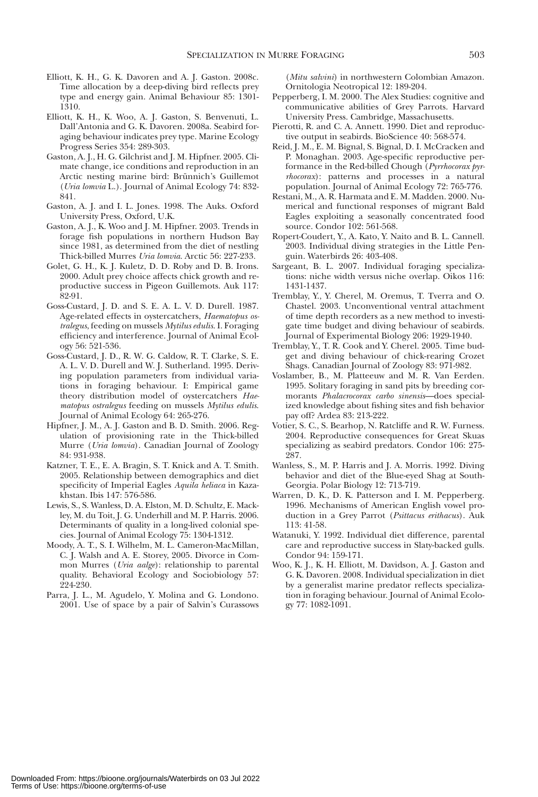- Elliott, K. H., G. K. Davoren and A. J. Gaston. 2008c. Time allocation by a deep-diving bird reflects prey type and energy gain. Animal Behaviour 85: 1301- 1310.
- Elliott, K. H., K. Woo, A. J. Gaston, S. Benvenuti, L. Dall'Antonia and G. K. Davoren. 2008a. Seabird foraging behaviour indicates prey type. Marine Ecology Progress Series 354: 289-303.
- Gaston, A. J., H. G. Gilchrist and J. M. Hipfner. 2005. Climate change, ice conditions and reproduction in an Arctic nesting marine bird: Brünnich's Guillemot (*Uria lomvia* L.). Journal of Animal Ecology 74: 832- 841.
- Gaston, A. J. and I. L. Jones. 1998. The Auks. Oxford University Press, Oxford, U.K.
- Gaston, A. J., K. Woo and J. M. Hipfner. 2003. Trends in forage fish populations in northern Hudson Bay since 1981, as determined from the diet of nestling Thick-billed Murres *Uria lomvia*. Arctic 56: 227-233.
- Golet, G. H., K. J. Kuletz, D. D. Roby and D. B. Irons. 2000. Adult prey choice affects chick growth and reproductive success in Pigeon Guillemots. Auk 117: 82-91.
- Goss-Custard, J. D. and S. E. A. L. V. D. Durell. 1987. Age-related effects in oystercatchers, *Haematopus ostralegus*, feeding on mussels *Mytilus edulis*. I. Foraging efficiency and interference. Journal of Animal Ecology 56: 521-536.
- Goss-Custard, J. D., R. W. G. Caldow, R. T. Clarke, S. E. A. L. V. D. Durell and W. J. Sutherland. 1995. Deriving population parameters from individual variations in foraging behaviour. I: Empirical game theory distribution model of oystercatchers *Haematopus ostralegus* feeding on mussels *Mytilus edulis*. Journal of Animal Ecology 64: 265-276.
- Hipfner, J. M., A. J. Gaston and B. D. Smith. 2006. Regulation of provisioning rate in the Thick-billed Murre (*Uria lomvia*). Canadian Journal of Zoology 84: 931-938.
- Katzner, T. E., E. A. Bragin, S. T. Knick and A. T. Smith. 2005. Relationship between demographics and diet specificity of Imperial Eagles *Aquila heliaca* in Kazakhstan. Ibis 147: 576-586.
- Lewis, S., S. Wanless, D. A. Elston, M. D. Schultz, E. Mackley, M. du Toit, J. G. Underhill and M. P. Harris. 2006. Determinants of quality in a long-lived colonial species. Journal of Animal Ecology 75: 1304-1312.
- Moody, A. T., S. I. Wilhelm, M. L. Cameron-MacMillan, C. J. Walsh and A. E. Storey, 2005. Divorce in Common Murres (*Uria aalge*): relationship to parental quality. Behavioral Ecology and Sociobiology 57: 224-230.
- Parra, J. L., M. Agudelo, Y. Molina and G. Londono. 2001. Use of space by a pair of Salvin's Curassows

(*Mitu salvini*) in northwestern Colombian Amazon. Ornitologia Neotropical 12: 189-204.

- Pepperberg, I. M. 2000. The Alex Studies: cognitive and communicative abilities of Grey Parrots. Harvard University Press. Cambridge, Massachusetts.
- Pierotti, R. and C. A. Annett. 1990. Diet and reproductive output in seabirds. BioScience 40: 568-574.
- Reid, J. M., E. M. Bignal, S. Bignal, D. I. McCracken and P. Monaghan. 2003. Age-specific reproductive performance in the Red-billed Chough (*Pyrrhocorax pyrrhocorax*): patterns and processes in a natural population. Journal of Animal Ecology 72: 765-776.
- Restani, M., A. R. Harmata and E. M. Madden. 2000. Numerical and functional responses of migrant Bald Eagles exploiting a seasonally concentrated food source. Condor 102: 561-568.
- Ropert-Coudert, Y., A. Kato, Y. Naito and B. L. Cannell. 2003. Individual diving strategies in the Little Penguin. Waterbirds 26: 403-408.
- Sargeant, B. L. 2007. Individual foraging specializations: niche width versus niche overlap. Oikos 116: 1431-1437.
- Tremblay, Y., Y. Cherel, M. Oremus, T. Tverra and O. Chastel. 2003. Unconventional ventral attachment of time depth recorders as a new method to investigate time budget and diving behaviour of seabirds. Journal of Experimental Biology 206: 1929-1940.
- Tremblay, Y., T. R. Cook and Y. Cherel. 2005. Time budget and diving behaviour of chick-rearing Crozet Shags. Canadian Journal of Zoology 83: 971-982.
- Voslamber, B., M. Platteeuw and M. R. Van Eerden. 1995. Solitary foraging in sand pits by breeding cormorants *Phalacrocorax carbo sinensis*—does specialized knowledge about fishing sites and fish behavior pay off? Ardea 83: 213-222.
- Votier, S. C., S. Bearhop, N. Ratcliffe and R. W. Furness. 2004. Reproductive consequences for Great Skuas specializing as seabird predators. Condor 106: 275- 287.
- Wanless, S., M. P. Harris and J. A. Morris. 1992. Diving behavior and diet of the Blue-eyed Shag at South-Georgia. Polar Biology 12: 713-719.
- Warren, D. K., D. K. Patterson and I. M. Pepperberg. 1996. Mechanisms of American English vowel production in a Grey Parrot (*Psittacus erithacus*). Auk 113: 41-58.
- Watanuki, Y. 1992. Individual diet difference, parental care and reproductive success in Slaty-backed gulls. Condor 94: 159-171.
- Woo, K. J., K. H. Elliott, M. Davidson, A. J. Gaston and G. K. Davoren. 2008. Individual specialization in diet by a generalist marine predator reflects specialization in foraging behaviour. Journal of Animal Ecology 77: 1082-1091.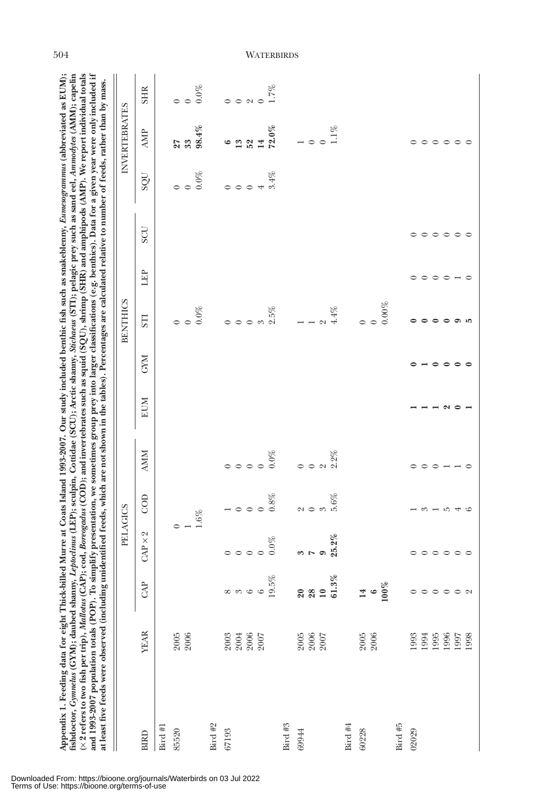| fishdoctor, Gynnelus (GYM); daubed shanny, Leptoclinus (LEP); sculpin, Cottidae (SCU); Arctic shanny, Stichaeus (STI); pelagic prey such as sand eel, Anmodytes (AMM); capelin<br>(× 2 refers to two fish per trip), Mallotus (CAP); cod, Boreogadus (COD); and invertebrates such as squid (SQU), shrimp (SHR) and amphipods (AMP). We report individual totals<br>and 1993-2007 population totals (POP). To simplify presentation, we sometimes group prey into larger classifications (e.g. benthics). Data for a given year were only included if<br>at least five feeds were observed (including unidentified feeds, which are not shown in the tables). Percentages are calculated relative to number of feeds, rather than by mass. |              |                 |                             |                                                       |            |               |                          |                 |       |                                 |            |                             |                 |
|--------------------------------------------------------------------------------------------------------------------------------------------------------------------------------------------------------------------------------------------------------------------------------------------------------------------------------------------------------------------------------------------------------------------------------------------------------------------------------------------------------------------------------------------------------------------------------------------------------------------------------------------------------------------------------------------------------------------------------------------|--------------|-----------------|-----------------------------|-------------------------------------------------------|------------|---------------|--------------------------|-----------------|-------|---------------------------------|------------|-----------------------------|-----------------|
|                                                                                                                                                                                                                                                                                                                                                                                                                                                                                                                                                                                                                                                                                                                                            |              |                 | PELAGICS                    |                                                       |            |               |                          | <b>BENTHICS</b> |       |                                 |            | INVERTEBRATES               |                 |
| <b>BIRD</b>                                                                                                                                                                                                                                                                                                                                                                                                                                                                                                                                                                                                                                                                                                                                | <b>YEAR</b>  | $\mathbb{R}^p$  | $\sim$<br>$CAP \times$      | COD                                                   | <b>AMM</b> | <b>EUM</b>    | <b>CYM</b>               | STI             | ÊP    | <b>SCU</b>                      | <b>DOS</b> | AMP                         | <b>SHR</b>      |
| Bird $#1$                                                                                                                                                                                                                                                                                                                                                                                                                                                                                                                                                                                                                                                                                                                                  |              |                 |                             |                                                       |            |               |                          |                 |       |                                 |            |                             |                 |
| 85520                                                                                                                                                                                                                                                                                                                                                                                                                                                                                                                                                                                                                                                                                                                                      | 2005         |                 |                             |                                                       |            |               |                          |                 |       |                                 |            | 27<br>33                    |                 |
|                                                                                                                                                                                                                                                                                                                                                                                                                                                                                                                                                                                                                                                                                                                                            | 2006         |                 |                             | $1.6\%$                                               |            |               |                          | $0.0\,\%$       |       |                                 | $0.0\%$    | 98.4%                       | $0.0\%$         |
| Bird $#2$                                                                                                                                                                                                                                                                                                                                                                                                                                                                                                                                                                                                                                                                                                                                  |              |                 |                             |                                                       |            |               |                          |                 |       |                                 |            |                             |                 |
| 67193                                                                                                                                                                                                                                                                                                                                                                                                                                                                                                                                                                                                                                                                                                                                      | 2003         |                 |                             |                                                       |            |               |                          |                 |       |                                 |            | $\bullet$                   |                 |
|                                                                                                                                                                                                                                                                                                                                                                                                                                                                                                                                                                                                                                                                                                                                            | 2004         |                 | $\circ \circ \circ$         | $\overline{\phantom{0}}$ 0 0 $\overline{\phantom{0}}$ |            |               |                          |                 |       |                                 |            | 13                          | $O$ $O$ $N$ $C$ |
|                                                                                                                                                                                                                                                                                                                                                                                                                                                                                                                                                                                                                                                                                                                                            | 2006<br>2007 |                 |                             |                                                       |            |               |                          |                 |       |                                 |            | 52                          |                 |
|                                                                                                                                                                                                                                                                                                                                                                                                                                                                                                                                                                                                                                                                                                                                            |              | 85<br>Goooooo   |                             |                                                       |            |               |                          |                 |       |                                 |            | 14                          |                 |
|                                                                                                                                                                                                                                                                                                                                                                                                                                                                                                                                                                                                                                                                                                                                            |              |                 |                             | $0.8\%$                                               | $0.0\%$    |               |                          |                 |       |                                 | 3.4%       | $72.0\%$                    |                 |
| Bird $#3$                                                                                                                                                                                                                                                                                                                                                                                                                                                                                                                                                                                                                                                                                                                                  |              |                 |                             |                                                       |            |               |                          |                 |       |                                 |            |                             |                 |
| 69944                                                                                                                                                                                                                                                                                                                                                                                                                                                                                                                                                                                                                                                                                                                                      | 2005         | $\overline{20}$ |                             |                                                       | $\circ$    |               |                          |                 |       |                                 |            |                             |                 |
|                                                                                                                                                                                                                                                                                                                                                                                                                                                                                                                                                                                                                                                                                                                                            | 2006         | $28$<br>10      | $\frac{3}{2}$               | $\alpha$ $\alpha$                                     | $\circ$    |               |                          |                 |       |                                 |            | $\circ$ $\circ$             |                 |
|                                                                                                                                                                                                                                                                                                                                                                                                                                                                                                                                                                                                                                                                                                                                            | 2007         |                 |                             |                                                       | $\sim$     |               |                          |                 |       |                                 |            |                             |                 |
|                                                                                                                                                                                                                                                                                                                                                                                                                                                                                                                                                                                                                                                                                                                                            |              | 61.3%           | 25.2%                       | 5.6%                                                  | $2.2\%$    |               |                          | $4.4\%$         |       |                                 |            | $1.1\%$                     |                 |
| Bird $#4$                                                                                                                                                                                                                                                                                                                                                                                                                                                                                                                                                                                                                                                                                                                                  |              |                 |                             |                                                       |            |               |                          |                 |       |                                 |            |                             |                 |
| 60228                                                                                                                                                                                                                                                                                                                                                                                                                                                                                                                                                                                                                                                                                                                                      | 2005         | 14              |                             |                                                       |            |               |                          |                 |       |                                 |            |                             |                 |
|                                                                                                                                                                                                                                                                                                                                                                                                                                                                                                                                                                                                                                                                                                                                            | 2006         | $\circ$         |                             |                                                       |            |               |                          |                 |       |                                 |            |                             |                 |
|                                                                                                                                                                                                                                                                                                                                                                                                                                                                                                                                                                                                                                                                                                                                            |              | $100\%$         |                             |                                                       |            |               |                          | $0.00\%$        |       |                                 |            |                             |                 |
| Bird #5                                                                                                                                                                                                                                                                                                                                                                                                                                                                                                                                                                                                                                                                                                                                    |              |                 |                             |                                                       |            |               |                          |                 |       |                                 |            |                             |                 |
| 02029                                                                                                                                                                                                                                                                                                                                                                                                                                                                                                                                                                                                                                                                                                                                      | 1993         | $\circ$         |                             |                                                       | ᅌ          |               |                          |                 |       | $\circ$                         |            |                             |                 |
|                                                                                                                                                                                                                                                                                                                                                                                                                                                                                                                                                                                                                                                                                                                                            | 1994         |                 |                             |                                                       | $\circ$    |               | $\overline{\phantom{0}}$ |                 |       |                                 |            |                             |                 |
|                                                                                                                                                                                                                                                                                                                                                                                                                                                                                                                                                                                                                                                                                                                                            | 1995         |                 |                             |                                                       |            |               |                          |                 |       |                                 |            |                             |                 |
|                                                                                                                                                                                                                                                                                                                                                                                                                                                                                                                                                                                                                                                                                                                                            | 1996         | 00000           | $\circ\circ\circ\circ\circ$ | $ \circ$ $ \circ$ $+$ $\circ$                         |            | $\sim$ $\sim$ | $\circ$ $\circ$          | $\bullet$       | 0000- | $\circ \circ \circ \circ \circ$ |            | $\circ\circ\circ\circ\circ$ |                 |
|                                                                                                                                                                                                                                                                                                                                                                                                                                                                                                                                                                                                                                                                                                                                            | 1997         |                 |                             |                                                       |            |               |                          | ும              |       |                                 |            |                             |                 |
|                                                                                                                                                                                                                                                                                                                                                                                                                                                                                                                                                                                                                                                                                                                                            | 1998         |                 |                             |                                                       |            |               | $\epsilon$               |                 |       |                                 |            |                             |                 |

504 WATERBIRDS

## Downloaded From: https://bioone.org/journals/Waterbirds on 03 Jul 2022 Terms of Use: https://bioone.org/terms-of-use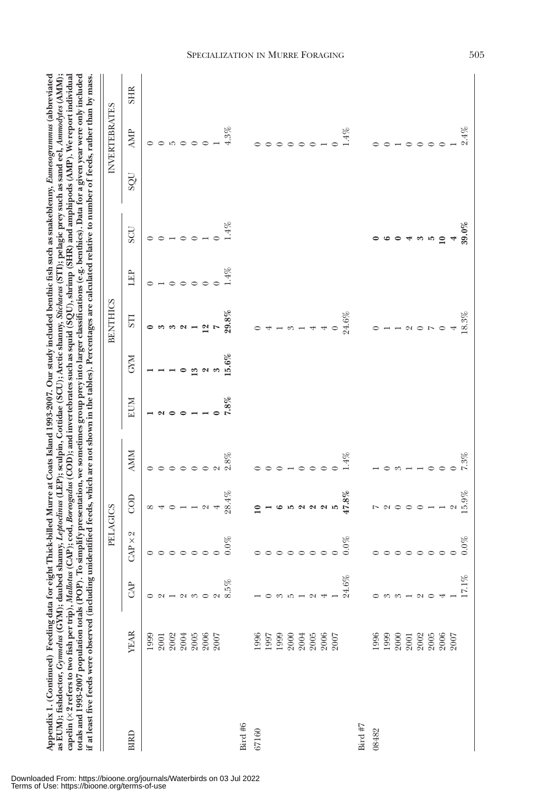| if at least five feeds were observed (including unidentified feeds, which are not shown in the tables). Percentages are calculated relative to number of feeds, rather than by mass. |             |                     | PELAGICS       |                       |            |      |            | <b>BENTHICS</b>           |        |           |            | <b>INVERTEBRATES</b> |            |
|--------------------------------------------------------------------------------------------------------------------------------------------------------------------------------------|-------------|---------------------|----------------|-----------------------|------------|------|------------|---------------------------|--------|-----------|------------|----------------------|------------|
| <b>BIRD</b>                                                                                                                                                                          | <b>YEAR</b> | $\mathbb{R}^n$      | $CAP \times 2$ | gop                   | <b>AMM</b> | EUM  | <b>CYM</b> | 5TI                       | 田      | UOS       | <b>DOS</b> | <b>AMP</b>           | <b>SHR</b> |
|                                                                                                                                                                                      | 1999        | 0                   |                | ${}^{\circ}$          |            |      |            |                           |        |           |            | $\circ$              |            |
|                                                                                                                                                                                      | 2001        | $\sim$              |                |                       |            |      |            |                           |        |           |            |                      |            |
|                                                                                                                                                                                      | 2002        |                     | $\circ$        | $\circ$               | $\circ$    |      |            |                           |        |           |            | $\overline{5}$       |            |
|                                                                                                                                                                                      | 2004        |                     | $\circ$        |                       | $\circ$    |      |            |                           |        | ᅌ         |            |                      |            |
|                                                                                                                                                                                      | 2005        | $ \circ$ $\circ$    | $\circ$        |                       | $\circ$    |      | ಌ          |                           |        | $\circ$   |            | $\circ$              |            |
|                                                                                                                                                                                      | 2006        |                     | $\circ$        | $\boldsymbol{\alpha}$ | $\circ$    |      |            | $\boldsymbol{\mathsf{N}}$ |        |           |            |                      |            |
|                                                                                                                                                                                      | 2007        | $\sim$              |                | 4                     | $\sim$     |      |            |                           |        |           |            |                      |            |
|                                                                                                                                                                                      |             | 5%                  | $0.0\%$        | 28.4%                 | 2.8%       | 7.8% | $5.6\%$    | 29.8%                     | $.4\%$ | $4\%$     |            | 4.3%                 |            |
| Bird #6                                                                                                                                                                              |             |                     |                |                       |            |      |            |                           |        |           |            |                      |            |
| 67160                                                                                                                                                                                | 1996        |                     |                |                       |            |      |            |                           |        |           |            |                      |            |
|                                                                                                                                                                                      | 1997        |                     |                |                       | ⊂          |      |            |                           |        |           |            |                      |            |
|                                                                                                                                                                                      | 1999        | ွ                   | $\circ$        | $\epsilon$            | $\circ$    |      |            |                           |        |           |            |                      |            |
|                                                                                                                                                                                      | 2000        | P.                  | $\circ$        | J.O                   |            |      |            | $\mathcal{C}$             |        |           |            |                      |            |
|                                                                                                                                                                                      | 2004        |                     | $\circ$        | $\sim$                | $\circ$    |      |            |                           |        |           |            |                      |            |
|                                                                                                                                                                                      | 2005        | $\sim$              | $\circ$        | $\sim$                | $\circ$    |      |            |                           |        |           |            |                      |            |
|                                                                                                                                                                                      | 2006        |                     | $\circ$        | ຕ 10                  | $\circ$    |      |            |                           |        |           |            |                      |            |
|                                                                                                                                                                                      | 2007        |                     |                |                       |            |      |            |                           |        |           |            |                      |            |
|                                                                                                                                                                                      |             | 24.6%               | $0.0\%$        | $47.8\%$              | $.4\%$     |      |            | 24.6%                     |        |           |            | $4\%$                |            |
| Bird $#7$                                                                                                                                                                            |             |                     |                |                       |            |      |            |                           |        |           |            |                      |            |
| 08482                                                                                                                                                                                | 1996        |                     |                |                       |            |      |            |                           |        |           |            |                      |            |
|                                                                                                                                                                                      | 1999        |                     |                |                       |            |      |            |                           |        |           |            |                      |            |
|                                                                                                                                                                                      | 2000        | $\omega \omega$ $-$ | $\circ$        | $\sim$                |            |      |            |                           |        |           |            |                      |            |
|                                                                                                                                                                                      | 2001        |                     | $\circ$        | $\circ$               |            |      |            |                           |        |           |            |                      |            |
|                                                                                                                                                                                      | 2002        | $\sim$              | $\circ$        | $\circ$               |            |      |            | $-005$                    |        | ಌ         |            |                      |            |
|                                                                                                                                                                                      | 2005        |                     | $\circ$        |                       | 0          |      |            |                           |        | ນດ        |            |                      |            |
|                                                                                                                                                                                      | 2006        |                     | $\circ$        |                       |            |      |            | $\circ$                   |        | $\bullet$ |            |                      |            |
|                                                                                                                                                                                      | 2007        |                     |                | $\sim$                |            |      |            |                           |        |           |            |                      |            |
|                                                                                                                                                                                      |             | $17.1\%$            | $0.0\%$        | 15.9%                 | $7.3\%$    |      |            | 18.3%                     |        | $39.0\%$  |            | 2.4%                 |            |

## Downloaded From: https://bioone.org/journals/Waterbirds on 03 Jul 2022 Terms of Use: https://bioone.org/terms-of-use